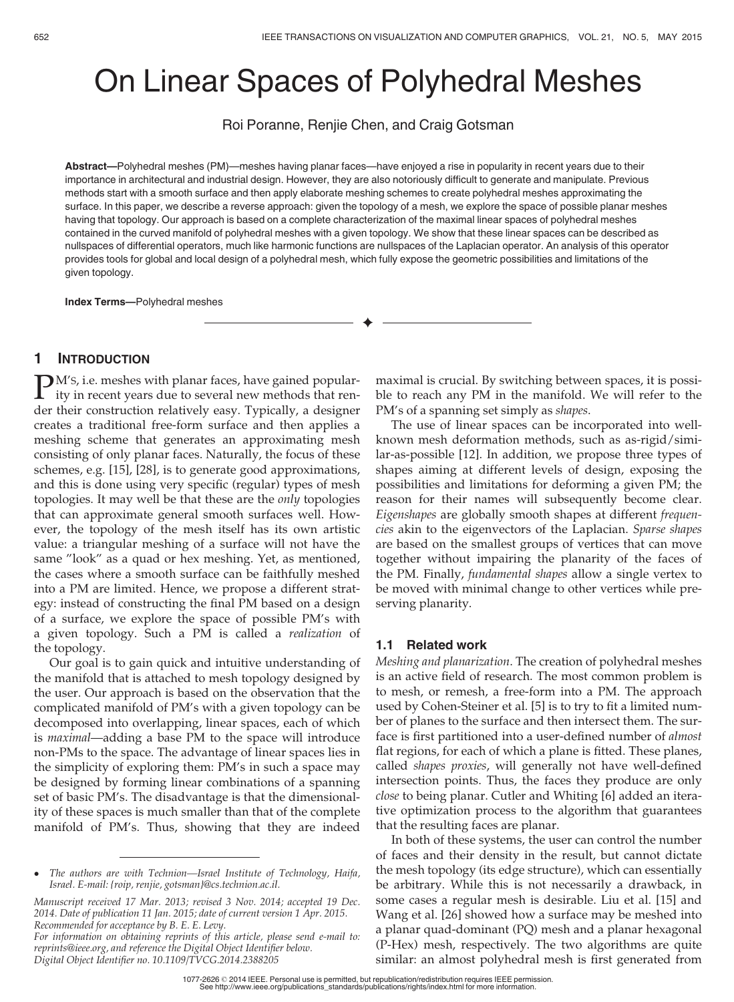# On Linear Spaces of Polyhedral Meshes

Roi Poranne, Renjie Chen, and Craig Gotsman

Abstract—Polyhedral meshes (PM)—meshes having planar faces—have enjoyed a rise in popularity in recent years due to their importance in architectural and industrial design. However, they are also notoriously difficult to generate and manipulate. Previous methods start with a smooth surface and then apply elaborate meshing schemes to create polyhedral meshes approximating the surface. In this paper, we describe a reverse approach: given the topology of a mesh, we explore the space of possible planar meshes having that topology. Our approach is based on a complete characterization of the maximal linear spaces of polyhedral meshes contained in the curved manifold of polyhedral meshes with a given topology. We show that these linear spaces can be described as nullspaces of differential operators, much like harmonic functions are nullspaces of the Laplacian operator. An analysis of this operator provides tools for global and local design of a polyhedral mesh, which fully expose the geometric possibilities and limitations of the given topology.

 $\bigstar$ 

Index Terms—Polyhedral meshes

# 1 INTRODUCTION

M's, i.e. meshes with planar faces, have gained popularity in recent years due to several new methods that render their construction relatively easy. Typically, a designer creates a traditional free-form surface and then applies a meshing scheme that generates an approximating mesh consisting of only planar faces. Naturally, the focus of these schemes, e.g. [15], [28], is to generate good approximations, and this is done using very specific (regular) types of mesh topologies. It may well be that these are the only topologies that can approximate general smooth surfaces well. However, the topology of the mesh itself has its own artistic value: a triangular meshing of a surface will not have the same "look" as a quad or hex meshing. Yet, as mentioned, the cases where a smooth surface can be faithfully meshed into a PM are limited. Hence, we propose a different strategy: instead of constructing the final PM based on a design of a surface, we explore the space of possible PM's with a given topology. Such a PM is called a realization of the topology.

Our goal is to gain quick and intuitive understanding of the manifold that is attached to mesh topology designed by the user. Our approach is based on the observation that the complicated manifold of PM's with a given topology can be decomposed into overlapping, linear spaces, each of which is maximal—adding a base PM to the space will introduce non-PMs to the space. The advantage of linear spaces lies in the simplicity of exploring them: PM's in such a space may be designed by forming linear combinations of a spanning set of basic PM's. The disadvantage is that the dimensionality of these spaces is much smaller than that of the complete manifold of PM's. Thus, showing that they are indeed maximal is crucial. By switching between spaces, it is possible to reach any PM in the manifold. We will refer to the PM's of a spanning set simply as shapes.

The use of linear spaces can be incorporated into wellknown mesh deformation methods, such as as-rigid/similar-as-possible [12]. In addition, we propose three types of shapes aiming at different levels of design, exposing the possibilities and limitations for deforming a given PM; the reason for their names will subsequently become clear. Eigenshapes are globally smooth shapes at different frequencies akin to the eigenvectors of the Laplacian. Sparse shapes are based on the smallest groups of vertices that can move together without impairing the planarity of the faces of the PM. Finally, fundamental shapes allow a single vertex to be moved with minimal change to other vertices while preserving planarity.

#### 1.1 Related work

Meshing and planarization. The creation of polyhedral meshes is an active field of research. The most common problem is to mesh, or remesh, a free-form into a PM. The approach used by Cohen-Steiner et al. [5] is to try to fit a limited number of planes to the surface and then intersect them. The surface is first partitioned into a user-defined number of almost flat regions, for each of which a plane is fitted. These planes, called shapes proxies, will generally not have well-defined intersection points. Thus, the faces they produce are only close to being planar. Cutler and Whiting [6] added an iterative optimization process to the algorithm that guarantees that the resulting faces are planar.

In both of these systems, the user can control the number of faces and their density in the result, but cannot dictate the mesh topology (its edge structure), which can essentially be arbitrary. While this is not necessarily a drawback, in some cases a regular mesh is desirable. Liu et al. [15] and Wang et al. [26] showed how a surface may be meshed into a planar quad-dominant (PQ) mesh and a planar hexagonal (P-Hex) mesh, respectively. The two algorithms are quite similar: an almost polyhedral mesh is first generated from

The authors are with Technion—Israel Institute of Technology, Haifa, Israel. E-mail: {roip, renjie, gotsman}@cs.technion.ac.il.

Manuscript received 17 Mar. 2013; revised 3 Nov. 2014; accepted 19 Dec. 2014. Date of publication 11 Jan. 2015; date of current version 1 Apr. 2015. Recommended for acceptance by B. E. E. Levy.

For information on obtaining reprints of this article, please send e-mail to: reprints@ieee.org, and reference the Digital Object Identifier below. Digital Object Identifier no. 10.1109/TVCG.2014.2388205

<sup>1077-2626</sup> 2014 IEEE. Personal use is permitted, but republication/redistribution requires IEEE permission. See http://www.ieee.org/publications\_standards/publications/rights/index.html for more information.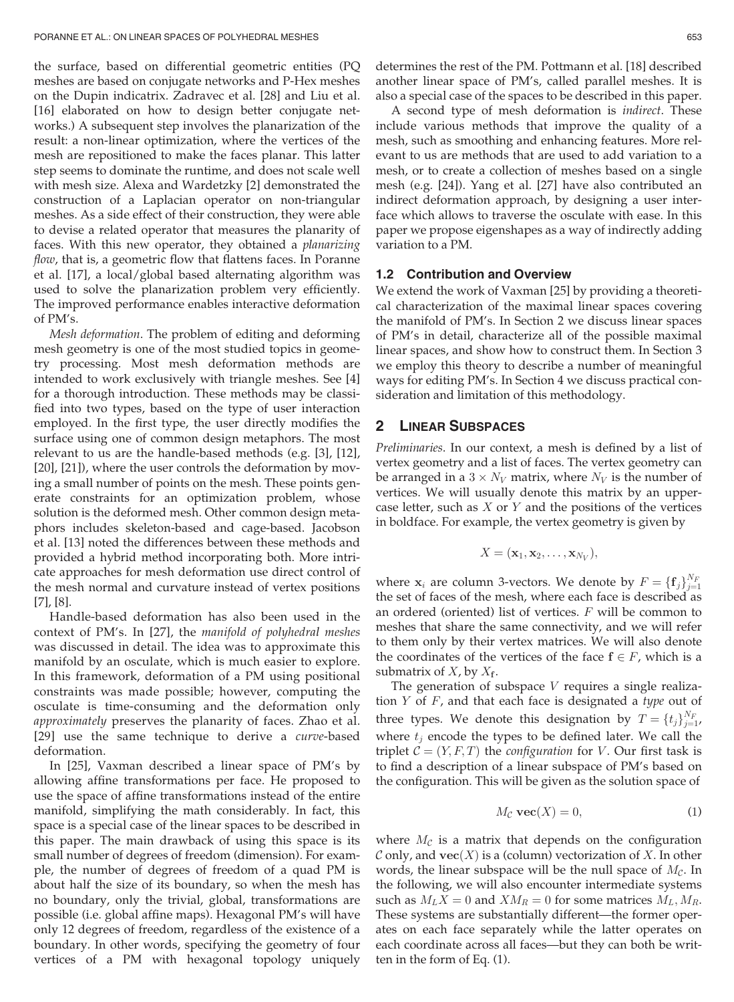the surface, based on differential geometric entities (PQ meshes are based on conjugate networks and P-Hex meshes on the Dupin indicatrix. Zadravec et al. [28] and Liu et al. [16] elaborated on how to design better conjugate networks.) A subsequent step involves the planarization of the result: a non-linear optimization, where the vertices of the mesh are repositioned to make the faces planar. This latter step seems to dominate the runtime, and does not scale well with mesh size. Alexa and Wardetzky [2] demonstrated the construction of a Laplacian operator on non-triangular meshes. As a side effect of their construction, they were able to devise a related operator that measures the planarity of faces. With this new operator, they obtained a planarizing flow, that is, a geometric flow that flattens faces. In Poranne et al. [17], a local/global based alternating algorithm was used to solve the planarization problem very efficiently. The improved performance enables interactive deformation of PM's.

Mesh deformation. The problem of editing and deforming mesh geometry is one of the most studied topics in geometry processing. Most mesh deformation methods are intended to work exclusively with triangle meshes. See [4] for a thorough introduction. These methods may be classified into two types, based on the type of user interaction employed. In the first type, the user directly modifies the surface using one of common design metaphors. The most relevant to us are the handle-based methods (e.g. [3], [12], [20], [21]), where the user controls the deformation by moving a small number of points on the mesh. These points generate constraints for an optimization problem, whose solution is the deformed mesh. Other common design metaphors includes skeleton-based and cage-based. Jacobson et al. [13] noted the differences between these methods and provided a hybrid method incorporating both. More intricate approaches for mesh deformation use direct control of the mesh normal and curvature instead of vertex positions [7], [8].

Handle-based deformation has also been used in the context of PM's. In [27], the manifold of polyhedral meshes was discussed in detail. The idea was to approximate this manifold by an osculate, which is much easier to explore. In this framework, deformation of a PM using positional constraints was made possible; however, computing the osculate is time-consuming and the deformation only approximately preserves the planarity of faces. Zhao et al. [29] use the same technique to derive a curve-based deformation.

In [25], Vaxman described a linear space of PM's by allowing affine transformations per face. He proposed to use the space of affine transformations instead of the entire manifold, simplifying the math considerably. In fact, this space is a special case of the linear spaces to be described in this paper. The main drawback of using this space is its small number of degrees of freedom (dimension). For example, the number of degrees of freedom of a quad PM is about half the size of its boundary, so when the mesh has no boundary, only the trivial, global, transformations are possible (i.e. global affine maps). Hexagonal PM's will have only 12 degrees of freedom, regardless of the existence of a boundary. In other words, specifying the geometry of four vertices of a PM with hexagonal topology uniquely determines the rest of the PM. Pottmann et al. [18] described another linear space of PM's, called parallel meshes. It is also a special case of the spaces to be described in this paper.

A second type of mesh deformation is indirect. These include various methods that improve the quality of a mesh, such as smoothing and enhancing features. More relevant to us are methods that are used to add variation to a mesh, or to create a collection of meshes based on a single mesh (e.g. [24]). Yang et al. [27] have also contributed an indirect deformation approach, by designing a user interface which allows to traverse the osculate with ease. In this paper we propose eigenshapes as a way of indirectly adding variation to a PM.

#### 1.2 Contribution and Overview

We extend the work of Vaxman [25] by providing a theoretical characterization of the maximal linear spaces covering the manifold of PM's. In Section 2 we discuss linear spaces of PM's in detail, characterize all of the possible maximal linear spaces, and show how to construct them. In Section 3 we employ this theory to describe a number of meaningful ways for editing PM's. In Section 4 we discuss practical consideration and limitation of this methodology.

#### 2 LINEAR SUBSPACES

Preliminaries. In our context, a mesh is defined by a list of vertex geometry and a list of faces. The vertex geometry can be arranged in a  $3 \times N_V$  matrix, where  $N_V$  is the number of vertices. We will usually denote this matrix by an uppercase letter, such as  $X$  or  $Y$  and the positions of the vertices in boldface. For example, the vertex geometry is given by

$$
X = (\mathbf{x}_1, \mathbf{x}_2, \dots, \mathbf{x}_{N_V}),
$$

where  $\mathbf{x}_i$  are column 3-vectors. We denote by  $F = \{\mathbf{f}_j\}_{j=1}^{N_F}$ <br>the set of faces of the mesh where each face is described as where  $\lambda_i$  are column 5-vectors. We denote by  $Y = \lambda_j f_{j=1}$ <br>the set of faces of the mesh, where each face is described as an ordered (oriented) list of vertices. F will be common to meshes that share the same connectivity, and we will refer to them only by their vertex matrices. We will also denote the coordinates of the vertices of the face  $f \in F$ , which is a submatrix of  $X$ , by  $X_f$ .

The generation of subspace  $V$  requires a single realization  $Y$  of  $F$ , and that each face is designated a type out of three types. We denote this designation by  $T = \{t_j\}_{j=1}^{N_F}$ where  $t_i$  encode the types to be defined later. We call the triplet  $C = (Y, F, T)$  the *configuration* for *V*. Our first task is to find a description of a linear subspace of PM's based on the configuration. This will be given as the solution space of

$$
M_{\mathcal{C}}\,\mathbf{vec}(X) = 0,\tag{1}
$$

where  $M_{\mathcal{C}}$  is a matrix that depends on the configuration  $\mathcal C$  only, and  $\text{vec}(X)$  is a (column) vectorization of X. In other words, the linear subspace will be the null space of  $M_c$ . In the following, we will also encounter intermediate systems such as  $M_LX = 0$  and  $XM_R = 0$  for some matrices  $M_L, M_R$ . These systems are substantially different—the former operates on each face separately while the latter operates on each coordinate across all faces—but they can both be written in the form of Eq. (1).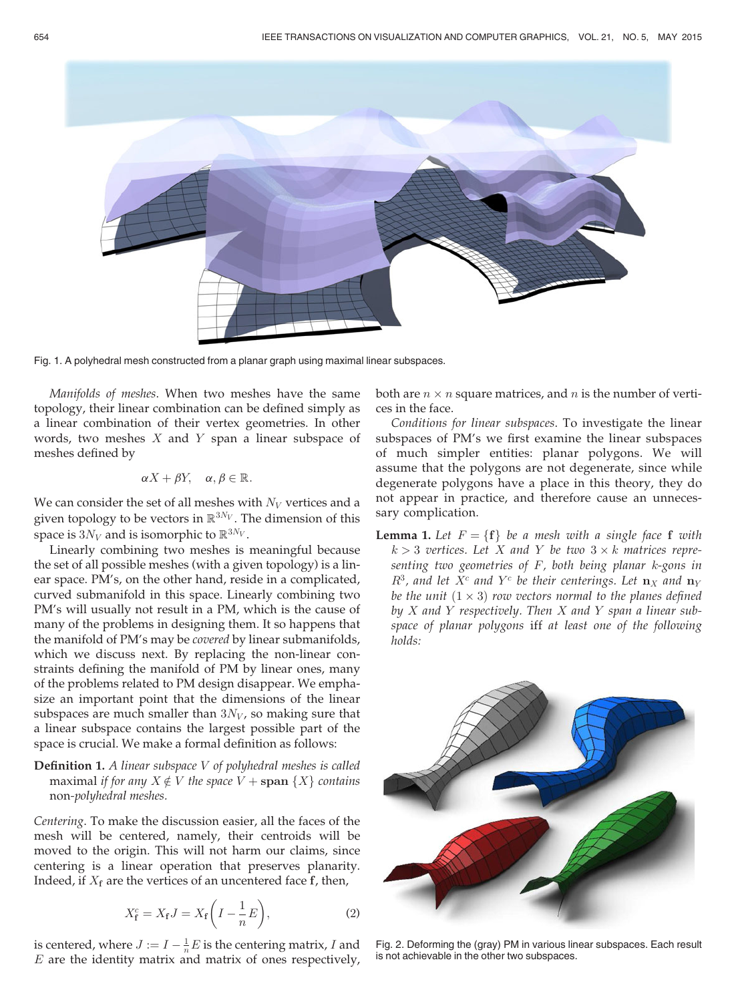

Fig. 1. A polyhedral mesh constructed from a planar graph using maximal linear subspaces.

Manifolds of meshes. When two meshes have the same topology, their linear combination can be defined simply as a linear combination of their vertex geometries. In other words, two meshes  $X$  and  $Y$  span a linear subspace of meshes defined by

$$
\alpha X + \beta Y, \quad \alpha, \beta \in \mathbb{R}.
$$

We can consider the set of all meshes with  $N_V$  vertices and a given topology to be vectors in  $\mathbb{R}^{3N_V}$ . The dimension of this space is  $3N_V$  and is isomorphic to  $\mathbb{R}^{3N_V}$ .

Linearly combining two meshes is meaningful because the set of all possible meshes (with a given topology) is a linear space. PM's, on the other hand, reside in a complicated, curved submanifold in this space. Linearly combining two PM's will usually not result in a PM, which is the cause of many of the problems in designing them. It so happens that the manifold of PM's may be covered by linear submanifolds, which we discuss next. By replacing the non-linear constraints defining the manifold of PM by linear ones, many of the problems related to PM design disappear. We emphasize an important point that the dimensions of the linear subspaces are much smaller than  $3N_V$ , so making sure that a linear subspace contains the largest possible part of the space is crucial. We make a formal definition as follows:

## **Definition 1.** A linear subspace  $V$  of polyhedral meshes is called maximal if for any  $X \notin V$  the space  $V + \text{span } \{X\}$  contains non-polyhedral meshes.

Centering. To make the discussion easier, all the faces of the mesh will be centered, namely, their centroids will be moved to the origin. This will not harm our claims, since centering is a linear operation that preserves planarity. Indeed, if  $X_f$  are the vertices of an uncentered face  $f$ , then,

$$
X_{\mathbf{f}}^c = X_{\mathbf{f}} J = X_{\mathbf{f}} \left( I - \frac{1}{n} E \right),\tag{2}
$$

is centered, where  $J := I - \frac{1}{n}E$  is the centering matrix, I and  $E$  are the identity matrix and matrix of ones respectively.  $E$  are the identity matrix and matrix of ones respectively, both are  $n \times n$  square matrices, and n is the number of vertices in the face.

Conditions for linear subspaces. To investigate the linear subspaces of PM's we first examine the linear subspaces of much simpler entities: planar polygons. We will assume that the polygons are not degenerate, since while degenerate polygons have a place in this theory, they do not appear in practice, and therefore cause an unnecessary complication.

**Lemma 1.** Let  $F = \{f\}$  be a mesh with a single face f with  $k > 3$  vertices. Let X and Y be two  $3 \times k$  matrices representing two geometries of  $F$ , both being planar  $k$ -gons in  $R^3$ , and let  $X^c$  and  $Y^c$  be their centerings. Let  $\mathbf{n}_X$  and  $\mathbf{n}_Y$ be the unit  $(1 \times 3)$  row vectors normal to the planes defined by  $X$  and  $Y$  respectively. Then  $X$  and  $Y$  span a linear subspace of planar polygons iff at least one of the following holds:



Fig. 2. Deforming the (gray) PM in various linear subspaces. Each result is not achievable in the other two subspaces.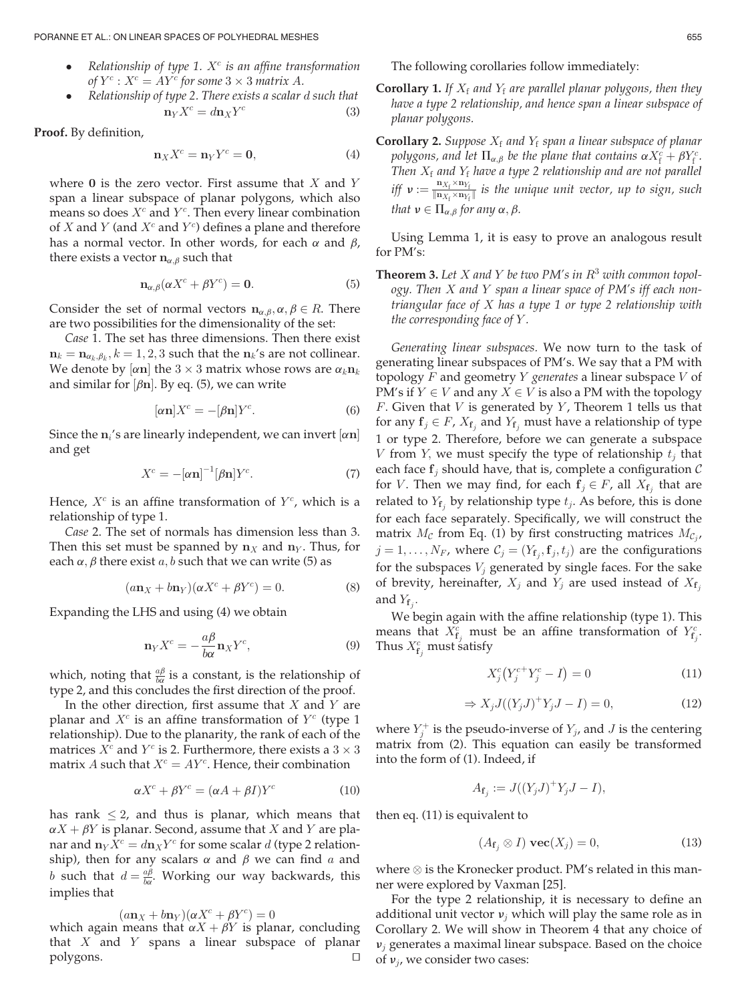- Relationship of type 1.  $X<sup>c</sup>$  is an affine transformation of  $Y^c$  :  $X^c = A Y^c$  for some  $3 \times 3$  matrix A.
- Relationship of type 2. There exists a scalar d such that<br> $\mathbf{n} \times X^c = d\mathbf{n} \times Y^c$  (3)  $\mathbf{n}_Y X^c = d\mathbf{n}_X Y^c$

Proof. By definition,

$$
\mathbf{n}_X X^c = \mathbf{n}_Y Y^c = \mathbf{0},\tag{4}
$$

where 0 is the zero vector. First assume that  $X$  and  $Y$ span a linear subspace of planar polygons, which also means so does  $X^c$  and  $Y^c$ . Then every linear combination of X and Y (and  $X^c$  and  $Y^c$ ) defines a plane and therefore has a normal vector. In other words, for each  $\alpha$  and  $\beta$ , there exists a vector  $n_{\alpha,\beta}$  such that

$$
\mathbf{n}_{\alpha,\beta}(\alpha X^c + \beta Y^c) = \mathbf{0}.\tag{5}
$$

Consider the set of normal vectors  $n_{\alpha,\beta}, \alpha, \beta \in R$ . There are two possibilities for the dimensionality of the set:

Case 1. The set has three dimensions. Then there exist  $n_k = n_{\alpha_k,\beta_k}, k = 1,2,3$  such that the  $n_k$ 's are not collinear. We denote by  $[\alpha n]$  the  $3 \times 3$  matrix whose rows are  $\alpha_k n_k$ and similar for  $[\beta n]$ . By eq. (5), we can write

$$
[\alpha \mathbf{n}]X^{c} = -[\beta \mathbf{n}]Y^{c}.
$$
 (6)

Since the  $n_i$ 's are linearly independent, we can invert  $[\alpha n]$ and get

$$
X^{c} = -[\alpha \mathbf{n}]^{-1}[\beta \mathbf{n}]Y^{c}.
$$
 (7)

Hence,  $X^c$  is an affine transformation of  $Y^c$ , which is a relationship of type 1.

Case 2. The set of normals has dimension less than 3. Then this set must be spanned by  $\mathbf{n}_X$  and  $\mathbf{n}_Y$ . Thus, for each  $\alpha$ ,  $\beta$  there exist  $a$ ,  $b$  such that we can write (5) as

$$
(a\mathbf{n}_X + b\mathbf{n}_Y)(\alpha X^c + \beta Y^c) = 0.
$$
 (8)

Expanding the LHS and using (4) we obtain

$$
\mathbf{n}_Y X^c = -\frac{a\beta}{b\alpha} \mathbf{n}_X Y^c,\tag{9}
$$

which, noting that  $\frac{a\beta}{b\alpha}$  is a constant, is the relationship of type 2, and this concludes the first direction of the proof.

In the other direction, first assume that  $X$  and  $Y$  are planar and  $X^c$  is an affine transformation of  $Y^c$  (type 1 relationship). Due to the planarity, the rank of each of the matrices  $X^c$  and  $Y^c$  is 2. Furthermore, there exists a  $3 \times 3$ matrix A such that  $X^c = A Y^c$ . Hence, their combination

$$
\alpha X^{c} + \beta Y^{c} = (\alpha A + \beta I)Y^{c}
$$
 (10)

has rank  $\leq 2$ , and thus is planar, which means that  $\alpha X + \beta Y$  is planar. Second, assume that X and Y are planar and  $\mathbf{n}_Y X^c = d\mathbf{n}_X Y^c$  for some scalar d (type 2 relationship), then for any scalars  $\alpha$  and  $\beta$  we can find a and b such that  $d = \frac{a\beta}{ba}$ . Working our way backwards, this implies that

 $(an_X + b_n_Y)(\alpha X^c + \beta Y^c) = 0$ <br>which again means that  $\alpha X + \beta Y$  is planar, concluding<br>that X and Y spans a linear subspace of planar that  $X$  and  $Y$  spans a linear subspace of planar polygons.  $\Box$  The following corollaries follow immediately:

- **Corollary 1.** If  $X_f$  and  $Y_f$  are parallel planar polygons, then they have a type 2 relationship, and hence span a linear subspace of planar polygons.
- **Corollary 2.** Suppose  $X_f$  and  $Y_f$  span a linear subspace of planar polygons, and let  $\Pi_{\alpha,\beta}$  be the plane that contains  $\alpha X_f^c + \beta Y_f^c$ .<br>Then X<sub>5</sub> and Y<sub>5</sub> have a type 2 relationship and are not parallel Then  $X_f$  and  $Y_f$  have a type 2 relationship and are not parallel iff  $v := \frac{\mathbf{n}_{X_f} \times \mathbf{n}_{Y_f}}{\|\mathbf{n}_{X_f} \times \mathbf{n}_{Y_f}}$  $\frac{K_{\text{AT}} - K_{\text{AT}}}{\|\mathbf{n}_{X_{\text{f}}} \times \mathbf{n}_{Y_{\text{f}}}\|}$  is the unique unit vector, up to sign, such that  $v \in \Pi_{\alpha,\beta}$  for any  $\alpha, \beta$ .

Using Lemma 1, it is easy to prove an analogous result for PM's:

**Theorem 3.** Let X and Y be two PM's in  $R^3$  with common topology. Then X and Y span a linear space of PM's iff each nontriangular face of  $X$  has a type 1 or type 2 relationship with the corresponding face of  $Y$ .

Generating linear subspaces. We now turn to the task of generating linear subspaces of PM's. We say that a PM with topology  $F$  and geometry  $Y$  generates a linear subspace  $V$  of PM's if  $Y \in V$  and any  $X \in V$  is also a PM with the topology  $F$ . Given that  $V$  is generated by  $Y$ , Theorem 1 tells us that for any  $f_j \in F$ ,  $X_{f_j}$  and  $Y_{f_j}$  must have a relationship of type 1 or type 2. Therefore, before we can generate a subspace V from Y, we must specify the type of relationship  $t_i$  that each face  $f_i$  should have, that is, complete a configuration  $\mathcal C$ for *V*. Then we may find, for each  $f_j \in F$ , all  $X_{f_j}$  that are related to  $Y_{f_i}$  by relationship type  $t_j$ . As before, this is done for each face separately. Specifically, we will construct the matrix  $M_c$  from Eq. (1) by first constructing matrices  $M_c$  $j = 1, \ldots, N_F$ , where  $C_j = (Y_{f_j}, f_j, t_j)$  are the configurations for the subspaces  $V_j$  generated by single faces. For the sake of brevity, hereinafter,  $X_j$  and  $Y_j$  are used instead of  $X_{f_j}$ and  $Y_{\mathbf{f}_i}$ .

We begin again with the affine relationship (type 1). This means that  $X_{f_j}^c$  must be an affine transformation of  $Y_{f_j}^c$ . Thus  $X^c_{\mathbf{f}_j}$  must satisfy

$$
X_j^c(Y_j^{c+}Y_j^c - I) = 0 \tag{11}
$$

$$
\Rightarrow X_j J((Y_j J)^+ Y_j J - I) = 0,\tag{12}
$$

where  $Y_j^+$  is the pseudo-inverse of  $Y_j$ , and  $J$  is the centering matrix from (2). This equation can easily be transformed into the form of (1). Indeed, if

$$
A_{\mathbf{f}_j} := J((Y_j J)^+ Y_j J - I),
$$

then eq. (11) is equivalent to

$$
(A_{\mathbf{f}_j} \otimes I) \mathbf{vec}(X_j) = 0,\t(13)
$$

where  $\otimes$  is the Kronecker product. PM's related in this manner were explored by Vaxman [25].

For the type 2 relationship, it is necessary to define an additional unit vector  $v_i$  which will play the same role as in Corollary 2. We will show in Theorem 4 that any choice of  $v_j$  generates a maximal linear subspace. Based on the choice of  $v_j$ , we consider two cases: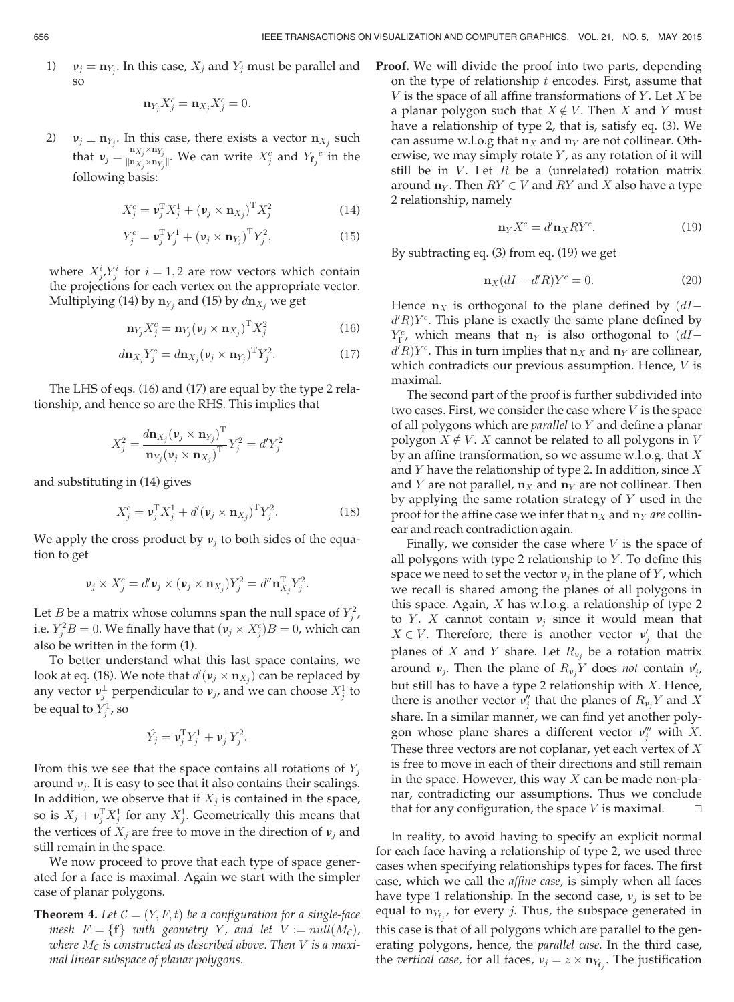1)  $v_j = n_{Y_j}$ . In this case,  $X_j$  and  $Y_j$  must be parallel and  $\mathbf{s}$ 

$$
\mathbf{n}_{Y_j} X_j^c = \mathbf{n}_{X_j} X_j^c = 0.
$$

2)  $v_j \perp n_{Y_j}$ . In this case, there exists a vector  $n_{X_j}$  such that  $v_j = \frac{n_{X_j} \times n_{Y_j}}{\| n_{X_j} \times n_{Y_j} \|}$ . We can write  $X_j^c$  and  $Y_{f_j}^c$  in the following basis:

$$
X_j^c = \mathbf{v}_j^{\mathrm{T}} X_j^1 + (\mathbf{v}_j \times \mathbf{n}_{X_j})^{\mathrm{T}} X_j^2 \tag{14}
$$

$$
Y_j^c = \mathbf{v}_j^{\mathrm{T}} Y_j^1 + (\mathbf{v}_j \times \mathbf{n}_{Y_j})^{\mathrm{T}} Y_j^2, \tag{15}
$$

where  $X_j^i$ ,  $Y_j^i$  for  $i = 1, 2$  are row vectors which contain<br>the projections for each vertex on the appropriate vector the projections for each vertex on the appropriate vector. Multiplying (14) by  $n_{Y_i}$  and (15) by  $d n_{X_i}$  we get

$$
\mathbf{n}_{Y_j} X_j^c = \mathbf{n}_{Y_j} (\mathbf{v}_j \times \mathbf{n}_{X_j})^{\mathrm{T}} X_j^2 \tag{16}
$$

$$
d\mathbf{n}_{X_j} Y_j^c = d\mathbf{n}_{X_j} (\mathbf{v}_j \times \mathbf{n}_{Y_j})^{\mathrm{T}} Y_j^2. \tag{17}
$$

The LHS of eqs. (16) and (17) are equal by the type 2 relationship, and hence so are the RHS. This implies that

$$
X_j^2 = \frac{d\mathbf{n}_{X_j}(\mathbf{v}_j \times \mathbf{n}_{Y_j})^{\mathrm{T}}}{\mathbf{n}_{Y_j}(\mathbf{v}_j \times \mathbf{n}_{X_j})^{\mathrm{T}}} Y_j^2 = d' Y_j^2
$$

and substituting in (14) gives

$$
X_j^c = \mathbf{v}_j^{\mathrm{T}} X_j^1 + d'(\mathbf{v}_j \times \mathbf{n}_{X_j})^{\mathrm{T}} Y_j^2.
$$
 (18)

We apply the cross product by  $v_i$  to both sides of the equation to get

$$
\mathbf{v}_j \times X_j^c = d' \mathbf{v}_j \times (\mathbf{v}_j \times \mathbf{n}_{X_j}) Y_j^2 = d'' \mathbf{n}_{X_j}^{\mathrm{T}} Y_j^2.
$$

Let *B* be a matrix whose columns span the null space of  $Y_j^2$ , i.e.  $Y_j^2 B = 0$ . We finally have that  $(v_j \times X_j^c) B = 0$ , which can also be viritten in the form (1) also be written in the form (1).

To better understand what this last space contains, we look at eq. (18). We note that  $d'(v_j \times n_{X_j})$  can be replaced by<br>any vector  $v^{\perp}$  perpendicular to  $v_{\perp}$  and we can choose  $X^1$  to any vector  $v_j^{\perp}$  perpendicular to  $v_j$ , and we can choose  $X_j^1$  to be equal to  $Y^1_j$ , so

$$
\hat{Y}_j = \mathbf{v}_j^{\mathrm{T}} Y_j^1 + \mathbf{v}_j^{\perp} Y_j^2.
$$

From this we see that the space contains all rotations of  $Y_i$ around  $v_i$ . It is easy to see that it also contains their scalings. In addition, we observe that if  $X_j$  is contained in the space, so is  $X_j + v_j^{\mathrm{T}} X_j^{\mathrm{T}}$  for any  $X_j^{\mathrm{T}}$ . Geometrically this means that the vertices of  $X_j$  are free to move in the direction of  $v_j$  and still remain in the space.

We now proceed to prove that each type of space generated for a face is maximal. Again we start with the simpler case of planar polygons.

**Theorem 4.** Let  $C = (Y, F, t)$  be a configuration for a single-face mesh  $F = \{f\}$  with geometry Y, and let  $V := null(M<sub>C</sub>)$ , where  $M_{\mathcal{C}}$  is constructed as described above. Then V is a maximal linear subspace of planar polygons.

Proof. We will divide the proof into two parts, depending on the type of relationship  $t$  encodes. First, assume that  $V$  is the space of all affine transformations of  $Y$ . Let  $X$  be a planar polygon such that  $X \notin V$ . Then X and Y must have a relationship of type 2, that is, satisfy eq. (3). We can assume w.l.o.g that  $n_X$  and  $n_Y$  are not collinear. Otherwise, we may simply rotate  $Y$ , as any rotation of it will still be in  $V$ . Let  $R$  be a (unrelated) rotation matrix around  $\mathbf{n}_Y$ . Then  $RY \in V$  and  $RY$  and X also have a type 2 relationship, namely

$$
\mathbf{n}_Y X^c = d' \mathbf{n}_X R Y^c. \tag{19}
$$

By subtracting eq. (3) from eq. (19) we get

$$
\mathbf{n}_X(dI - d'R)Y^c = 0.
$$
 (20)

Hence  $n_X$  is orthogonal to the plane defined by  $(dI$  $d'R$ ) $Y<sup>c</sup>$ . This plane is exactly the same plane defined by  $Y<sup>c</sup>$  which means that ny is also orthogonal to  $(dI Y_f^c$ , which means that  $n_Y$  is also orthogonal to  $(dI - d'R)V^c$ . This in turn implies that  $n_Y$  and  $n_Y$  are collinear.  $d'R$ ) $Y<sup>c</sup>$ . This in turn implies that  $n_X$  and  $n_Y$  are collinear, which contradicts our previous assumption. Hence V is which contradicts our previous assumption. Hence,  $V$  is maximal.

The second part of the proof is further subdivided into two cases. First, we consider the case where  $V$  is the space of all polygons which are *parallel* to  $Y$  and define a planar polygon  $X \notin V$ . X cannot be related to all polygons in V by an affine transformation, so we assume w.l.o.g. that  $X$ and  $Y$  have the relationship of type 2. In addition, since  $X$ and Y are not parallel,  $\mathbf{n}_X$  and  $\mathbf{n}_Y$  are not collinear. Then by applying the same rotation strategy of  $Y$  used in the proof for the affine case we infer that  $n_X$  and  $n_Y$  are collinear and reach contradiction again.

Finally, we consider the case where  $V$  is the space of all polygons with type 2 relationship to  $Y$ . To define this space we need to set the vector  $v_i$  in the plane of Y, which we recall is shared among the planes of all polygons in this space. Again,  $X$  has w.l.o.g. a relationship of type 2 to *Y*. *X* cannot contain  $v_j$  since it would mean that  $X \in V$ . Therefore, there is another vector  $v'_j$  that the planes of X and Y share. Let  $R_{\nu_i}$  be a rotation matrix around  $v_j$ . Then the plane of  $R_{v_j}Y$  does not contain  $v'_{j'}$ but still has to have a type 2 relationship with  $X$ . Hence, there is another vector  $v''_j$  that the planes of  $R_{v_j}Y$  and X share. In a similar manner, we can find yet another polygon whose plane shares a different vector  $v_j'''$  with X. These three vectors are not coplanar, yet each vertex of  $X$ is free to move in each of their directions and still remain in the space. However, this way  $X$  can be made non-planar, contradicting our assumptions. Thus we conclude that for any configuration, the space  $V$  is maximal.  $\Box$ 

In reality, to avoid having to specify an explicit normal for each face having a relationship of type 2, we used three cases when specifying relationships types for faces. The first case, which we call the affine case, is simply when all faces have type 1 relationship. In the second case,  $v_i$  is set to be equal to  $\mathbf{n}_{Y_{\mathbf{f}_j}}$ , for every *j*. Thus, the subspace generated in this case is that of all polygons which are parallel to the generating polygons, hence, the parallel case. In the third case, the *vertical case*, for all faces,  $v_j = z \times \mathbf{n}_{Y_{f_j}}$ . The justification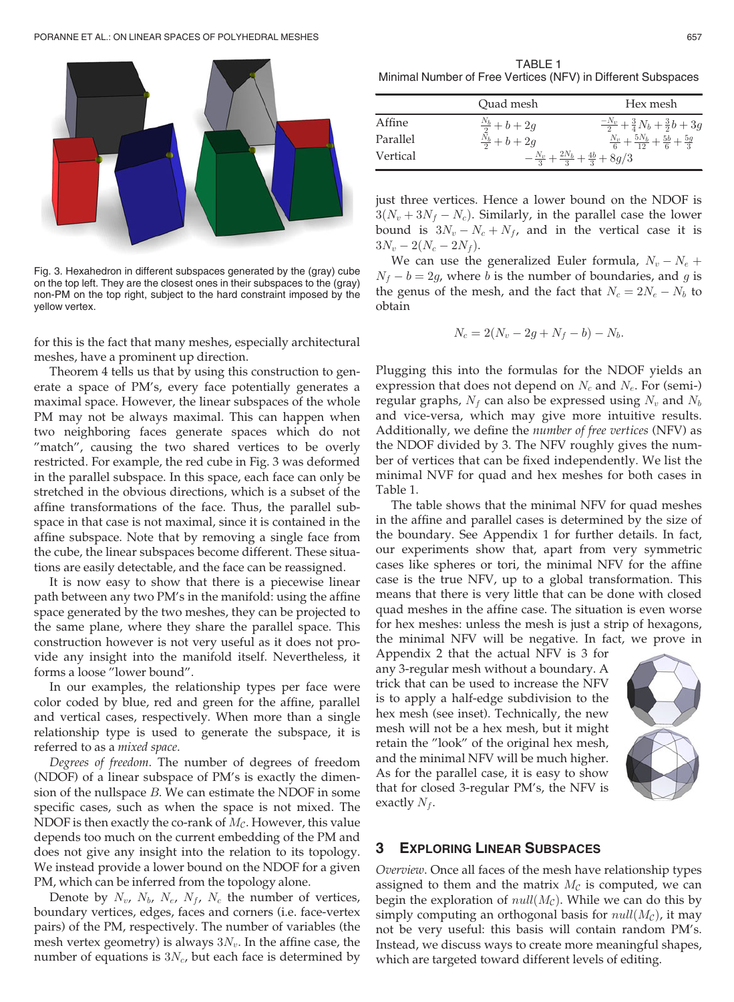

Fig. 3. Hexahedron in different subspaces generated by the (gray) cube on the top left. They are the closest ones in their subspaces to the (gray) non-PM on the top right, subject to the hard constraint imposed by the yellow vertex.

for this is the fact that many meshes, especially architectural meshes, have a prominent up direction.

Theorem 4 tells us that by using this construction to generate a space of PM's, every face potentially generates a maximal space. However, the linear subspaces of the whole PM may not be always maximal. This can happen when two neighboring faces generate spaces which do not "match", causing the two shared vertices to be overly restricted. For example, the red cube in Fig. 3 was deformed in the parallel subspace. In this space, each face can only be stretched in the obvious directions, which is a subset of the affine transformations of the face. Thus, the parallel subspace in that case is not maximal, since it is contained in the affine subspace. Note that by removing a single face from the cube, the linear subspaces become different. These situations are easily detectable, and the face can be reassigned.

It is now easy to show that there is a piecewise linear path between any two PM's in the manifold: using the affine space generated by the two meshes, they can be projected to the same plane, where they share the parallel space. This construction however is not very useful as it does not provide any insight into the manifold itself. Nevertheless, it forms a loose "lower bound".

In our examples, the relationship types per face were color coded by blue, red and green for the affine, parallel and vertical cases, respectively. When more than a single relationship type is used to generate the subspace, it is referred to as a mixed space.

Degrees of freedom. The number of degrees of freedom (NDOF) of a linear subspace of PM's is exactly the dimension of the nullspace B. We can estimate the NDOF in some specific cases, such as when the space is not mixed. The NDOF is then exactly the co-rank of  $M_{\mathcal{C}}$ . However, this value depends too much on the current embedding of the PM and does not give any insight into the relation to its topology. We instead provide a lower bound on the NDOF for a given PM, which can be inferred from the topology alone.

Denote by  $N_v$ ,  $N_b$ ,  $N_e$ ,  $N_f$ ,  $N_c$  the number of vertices, boundary vertices, edges, faces and corners (i.e. face-vertex pairs) of the PM, respectively. The number of variables (the mesh vertex geometry) is always  $3N_v$ . In the affine case, the number of equations is  $3N_c$ , but each face is determined by

TABLE 1 Minimal Number of Free Vertices (NFV) in Different Subspaces

|          | Ouad mesh                                               | Hex mesh                                                        |
|----------|---------------------------------------------------------|-----------------------------------------------------------------|
| Affine   | $\frac{N_b}{2} + b + 2g$                                | $\frac{-N_v}{2} + \frac{3}{4}N_b + \frac{3}{2}b + 3g$           |
| Parallel | $\frac{\tilde{N}_b}{2} + b + 2g$                        | $\frac{N_v}{6} + \frac{5N_b}{12} + \frac{5b}{6} + \frac{5g}{3}$ |
| Vertical | $-\frac{N_v}{3} + \frac{2N_b}{3} + \frac{4b}{3} + 8g/3$ |                                                                 |

just three vertices. Hence a lower bound on the NDOF is  $3(N_v + 3N_f - N_c)$ . Similarly, in the parallel case the lower bound is  $3N_v - N_c + N_f$ , and in the vertical case it is  $3N_v - 2(N_c - 2N_f)$ .

We can use the generalized Euler formula,  $N_v - N_e$  +  $N_f - b = 2q$ , where b is the number of boundaries, and q is the genus of the mesh, and the fact that  $N_c = 2N_e - N_b$  to obtain

$$
N_c = 2(N_v - 2g + N_f - b) - N_b.
$$

Plugging this into the formulas for the NDOF yields an expression that does not depend on  $N_c$  and  $N_e$ . For (semi-) regular graphs,  $N_f$  can also be expressed using  $N_v$  and  $N_b$ and vice-versa, which may give more intuitive results. Additionally, we define the *number of free vertices* (NFV) as the NDOF divided by 3. The NFV roughly gives the number of vertices that can be fixed independently. We list the minimal NVF for quad and hex meshes for both cases in Table 1.

The table shows that the minimal NFV for quad meshes in the affine and parallel cases is determined by the size of the boundary. See Appendix 1 for further details. In fact, our experiments show that, apart from very symmetric cases like spheres or tori, the minimal NFV for the affine case is the true NFV, up to a global transformation. This means that there is very little that can be done with closed quad meshes in the affine case. The situation is even worse for hex meshes: unless the mesh is just a strip of hexagons, the minimal NFV will be negative. In fact, we prove in

Appendix 2 that the actual NFV is 3 for any 3-regular mesh without a boundary. A trick that can be used to increase the NFV is to apply a half-edge subdivision to the hex mesh (see inset). Technically, the new mesh will not be a hex mesh, but it might retain the "look" of the original hex mesh, and the minimal NFV will be much higher. As for the parallel case, it is easy to show that for closed 3-regular PM's, the NFV is exactly  $N_f$ .



# 3 EXPLORING LINEAR SUBSPACES

Overview. Once all faces of the mesh have relationship types assigned to them and the matrix  $M_{\mathcal{C}}$  is computed, we can begin the exploration of  $null(M<sub>C</sub>)$ . While we can do this by simply computing an orthogonal basis for  $null(M_{\mathcal{C}})$ , it may not be very useful: this basis will contain random PM's. Instead, we discuss ways to create more meaningful shapes, which are targeted toward different levels of editing.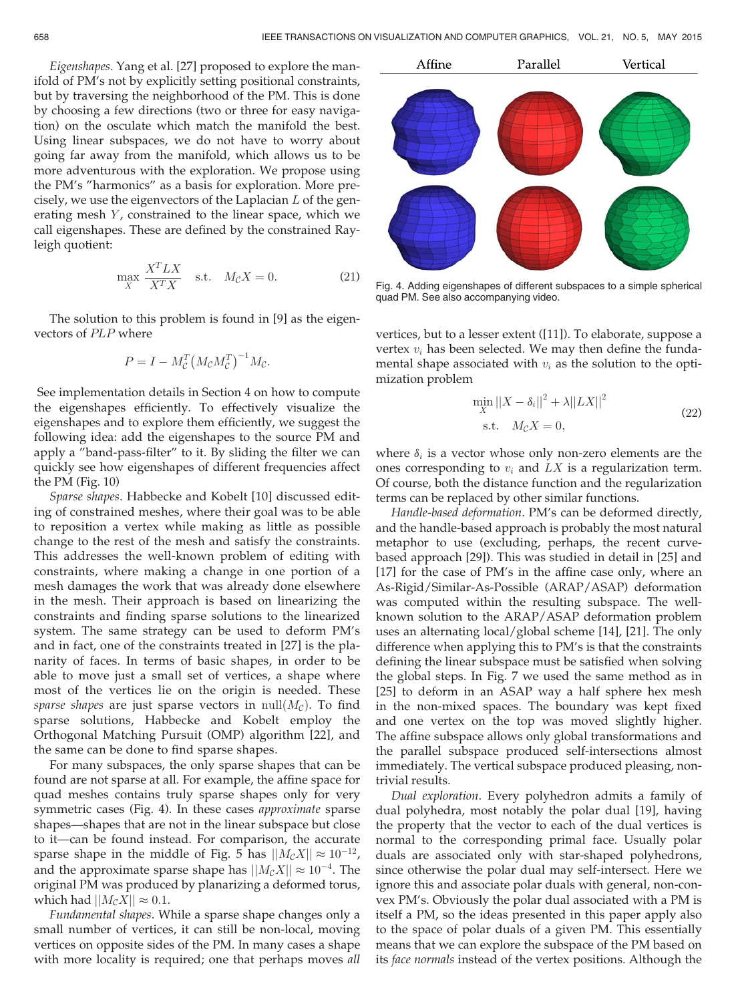Eigenshapes. Yang et al. [27] proposed to explore the manifold of PM's not by explicitly setting positional constraints, but by traversing the neighborhood of the PM. This is done by choosing a few directions (two or three for easy navigation) on the osculate which match the manifold the best. Using linear subspaces, we do not have to worry about going far away from the manifold, which allows us to be more adventurous with the exploration. We propose using the PM's "harmonics" as a basis for exploration. More precisely, we use the eigenvectors of the Laplacian  $L$  of the generating mesh  $Y$ , constrained to the linear space, which we call eigenshapes. These are defined by the constrained Rayleigh quotient:

$$
\max_{X} \frac{X^T L X}{X^T X} \quad \text{s.t.} \quad M_{\mathcal{C}} X = 0. \tag{21}
$$

The solution to this problem is found in [9] as the eigenvectors of PLP where

$$
P = I - M_{\mathcal{C}}^T \left( M_{\mathcal{C}} M_{\mathcal{C}}^T \right)^{-1} M_{\mathcal{C}}.
$$

See implementation details in Section 4 on how to compute the eigenshapes efficiently. To effectively visualize the eigenshapes and to explore them efficiently, we suggest the following idea: add the eigenshapes to the source PM and apply a "band-pass-filter" to it. By sliding the filter we can quickly see how eigenshapes of different frequencies affect the PM (Fig. 10)

Sparse shapes. Habbecke and Kobelt [10] discussed editing of constrained meshes, where their goal was to be able to reposition a vertex while making as little as possible change to the rest of the mesh and satisfy the constraints. This addresses the well-known problem of editing with constraints, where making a change in one portion of a mesh damages the work that was already done elsewhere in the mesh. Their approach is based on linearizing the constraints and finding sparse solutions to the linearized system. The same strategy can be used to deform PM's and in fact, one of the constraints treated in [27] is the planarity of faces. In terms of basic shapes, in order to be able to move just a small set of vertices, a shape where most of the vertices lie on the origin is needed. These sparse shapes are just sparse vectors in  $null(M<sub>C</sub>)$ . To find sparse solutions, Habbecke and Kobelt employ the Orthogonal Matching Pursuit (OMP) algorithm [22], and the same can be done to find sparse shapes.

For many subspaces, the only sparse shapes that can be found are not sparse at all. For example, the affine space for quad meshes contains truly sparse shapes only for very symmetric cases (Fig. 4). In these cases approximate sparse shapes—shapes that are not in the linear subspace but close to it—can be found instead. For comparison, the accurate sparse shape in the middle of Fig. 5 has  $||M_cX|| \approx 10^{-12}$ , and the approximate sparse shape has  $||M_cX|| \approx 10^{-4}$ . The original PM was produced by planarizing a deformed torus, which had  $||M_cX|| \approx 0.1$ .

Fundamental shapes. While a sparse shape changes only a small number of vertices, it can still be non-local, moving vertices on opposite sides of the PM. In many cases a shape with more locality is required; one that perhaps moves all



Fig. 4. Adding eigenshapes of different subspaces to a simple spherical quad PM. See also accompanying video.

vertices, but to a lesser extent ([11]). To elaborate, suppose a vertex  $v_i$  has been selected. We may then define the fundamental shape associated with  $v_i$  as the solution to the optimization problem

$$
\min_{X} ||X - \delta_i||^2 + \lambda ||LX||^2
$$
  
s.t.  $M_c X = 0$ , (22)

where  $\delta_i$  is a vector whose only non-zero elements are the ones corresponding to  $v_i$  and  $LX$  is a regularization term. Of course, both the distance function and the regularization terms can be replaced by other similar functions.

Handle-based deformation. PM's can be deformed directly, and the handle-based approach is probably the most natural metaphor to use (excluding, perhaps, the recent curvebased approach [29]). This was studied in detail in [25] and [17] for the case of PM's in the affine case only, where an As-Rigid/Similar-As-Possible (ARAP/ASAP) deformation was computed within the resulting subspace. The wellknown solution to the ARAP/ASAP deformation problem uses an alternating local/global scheme [14], [21]. The only difference when applying this to PM's is that the constraints defining the linear subspace must be satisfied when solving the global steps. In Fig. 7 we used the same method as in [25] to deform in an ASAP way a half sphere hex mesh in the non-mixed spaces. The boundary was kept fixed and one vertex on the top was moved slightly higher. The affine subspace allows only global transformations and the parallel subspace produced self-intersections almost immediately. The vertical subspace produced pleasing, nontrivial results.

Dual exploration. Every polyhedron admits a family of dual polyhedra, most notably the polar dual [19], having the property that the vector to each of the dual vertices is normal to the corresponding primal face. Usually polar duals are associated only with star-shaped polyhedrons, since otherwise the polar dual may self-intersect. Here we ignore this and associate polar duals with general, non-convex PM's. Obviously the polar dual associated with a PM is itself a PM, so the ideas presented in this paper apply also to the space of polar duals of a given PM. This essentially means that we can explore the subspace of the PM based on its face normals instead of the vertex positions. Although the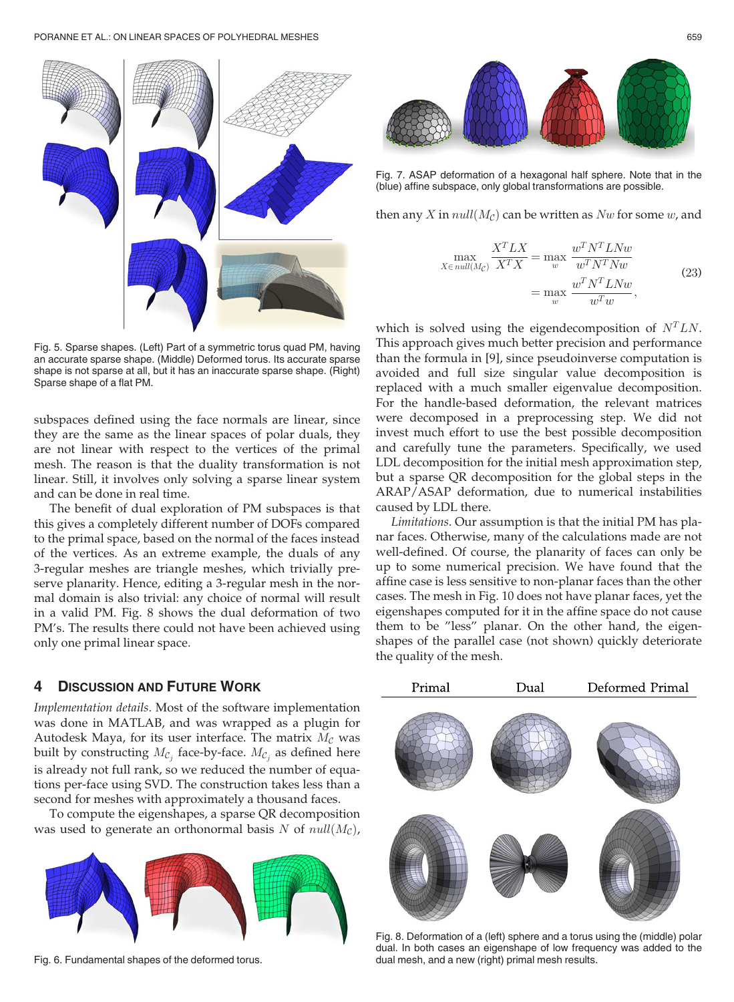

Fig. 5. Sparse shapes. (Left) Part of a symmetric torus quad PM, having an accurate sparse shape. (Middle) Deformed torus. Its accurate sparse shape is not sparse at all, but it has an inaccurate sparse shape. (Right) Sparse shape of a flat PM.

subspaces defined using the face normals are linear, since they are the same as the linear spaces of polar duals, they are not linear with respect to the vertices of the primal mesh. The reason is that the duality transformation is not linear. Still, it involves only solving a sparse linear system and can be done in real time.

The benefit of dual exploration of PM subspaces is that this gives a completely different number of DOFs compared to the primal space, based on the normal of the faces instead of the vertices. As an extreme example, the duals of any 3-regular meshes are triangle meshes, which trivially preserve planarity. Hence, editing a 3-regular mesh in the normal domain is also trivial: any choice of normal will result in a valid PM. Fig. 8 shows the dual deformation of two PM's. The results there could not have been achieved using only one primal linear space.

# 4 DISCUSSION AND FUTURE WORK

Implementation details. Most of the software implementation was done in MATLAB, and was wrapped as a plugin for Autodesk Maya, for its user interface. The matrix  $M_{\mathcal{C}}$  was built by constructing  $M_{\mathcal{C}_i}$  face-by-face.  $M_{\mathcal{C}_i}$  as defined here is already not full rank, so we reduced the number of equations per-face using SVD. The construction takes less than a second for meshes with approximately a thousand faces.

To compute the eigenshapes, a sparse QR decomposition was used to generate an orthonormal basis N of  $null(M<sub>C</sub>)$ ,



Fig. 6. Fundamental shapes of the deformed torus.



Fig. 7. ASAP deformation of a hexagonal half sphere. Note that in the (blue) affine subspace, only global transformations are possible.

then any X in  $null(M_C)$  can be written as Nw for some w, and

$$
\max_{X \in null(M_C)} \frac{X^T L X}{X^T X} = \max_{w} \frac{w^T N^T L N w}{w^T N^T N w}
$$
\n
$$
= \max_{w} \frac{w^T N^T L N w}{w^T w},
$$
\n(23)

which is solved using the eigendecomposition of  $N<sup>T</sup>LN$ . This approach gives much better precision and performance than the formula in [9], since pseudoinverse computation is avoided and full size singular value decomposition is replaced with a much smaller eigenvalue decomposition. For the handle-based deformation, the relevant matrices were decomposed in a preprocessing step. We did not invest much effort to use the best possible decomposition and carefully tune the parameters. Specifically, we used LDL decomposition for the initial mesh approximation step, but a sparse QR decomposition for the global steps in the ARAP/ASAP deformation, due to numerical instabilities caused by LDL there.

Limitations. Our assumption is that the initial PM has planar faces. Otherwise, many of the calculations made are not well-defined. Of course, the planarity of faces can only be up to some numerical precision. We have found that the affine case is less sensitive to non-planar faces than the other cases. The mesh in Fig. 10 does not have planar faces, yet the eigenshapes computed for it in the affine space do not cause them to be "less" planar. On the other hand, the eigenshapes of the parallel case (not shown) quickly deteriorate the quality of the mesh.



Fig. 8. Deformation of a (left) sphere and a torus using the (middle) polar dual. In both cases an eigenshape of low frequency was added to the dual mesh, and a new (right) primal mesh results.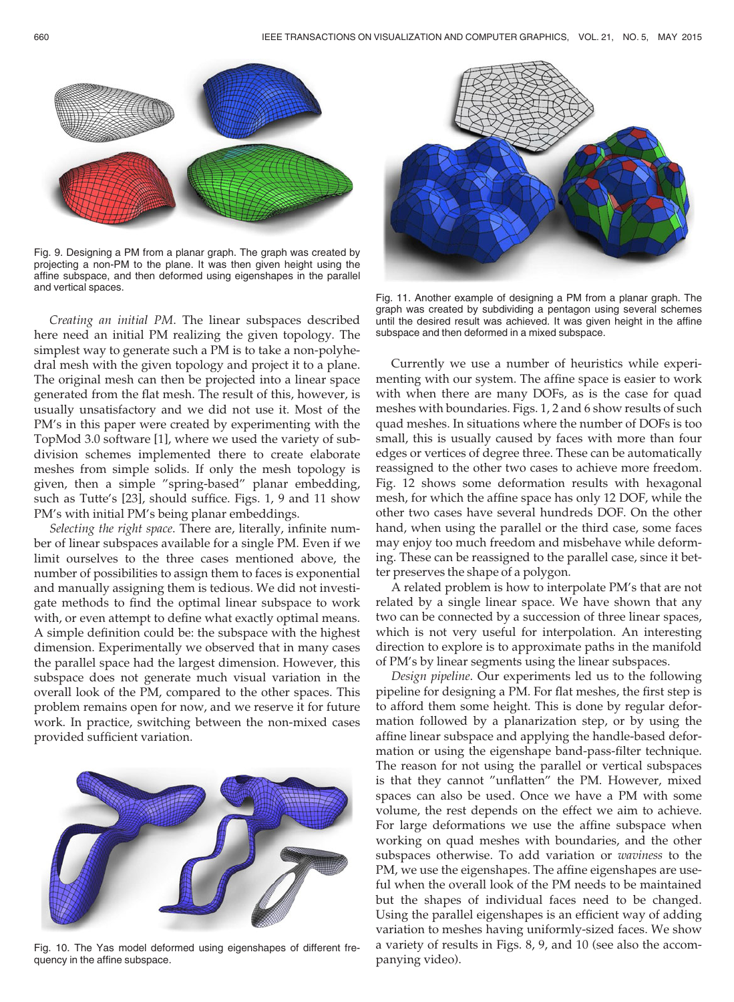

Fig. 9. Designing a PM from a planar graph. The graph was created by projecting a non-PM to the plane. It was then given height using the affine subspace, and then deformed using eigenshapes in the parallel and vertical spaces.

Creating an initial PM. The linear subspaces described here need an initial PM realizing the given topology. The simplest way to generate such a PM is to take a non-polyhedral mesh with the given topology and project it to a plane. The original mesh can then be projected into a linear space generated from the flat mesh. The result of this, however, is usually unsatisfactory and we did not use it. Most of the PM's in this paper were created by experimenting with the TopMod 3.0 software [1], where we used the variety of subdivision schemes implemented there to create elaborate meshes from simple solids. If only the mesh topology is given, then a simple "spring-based" planar embedding, such as Tutte's [23], should suffice. Figs. 1, 9 and 11 show PM's with initial PM's being planar embeddings.

Selecting the right space. There are, literally, infinite number of linear subspaces available for a single PM. Even if we limit ourselves to the three cases mentioned above, the number of possibilities to assign them to faces is exponential and manually assigning them is tedious. We did not investigate methods to find the optimal linear subspace to work with, or even attempt to define what exactly optimal means. A simple definition could be: the subspace with the highest dimension. Experimentally we observed that in many cases the parallel space had the largest dimension. However, this subspace does not generate much visual variation in the overall look of the PM, compared to the other spaces. This problem remains open for now, and we reserve it for future work. In practice, switching between the non-mixed cases provided sufficient variation.



Fig. 10. The Yas model deformed using eigenshapes of different frequency in the affine subspace.



Fig. 11. Another example of designing a PM from a planar graph. The graph was created by subdividing a pentagon using several schemes until the desired result was achieved. It was given height in the affine subspace and then deformed in a mixed subspace.

Currently we use a number of heuristics while experimenting with our system. The affine space is easier to work with when there are many DOFs, as is the case for quad meshes with boundaries. Figs. 1, 2 and 6 show results of such quad meshes. In situations where the number of DOFs is too small, this is usually caused by faces with more than four edges or vertices of degree three. These can be automatically reassigned to the other two cases to achieve more freedom. Fig. 12 shows some deformation results with hexagonal mesh, for which the affine space has only 12 DOF, while the other two cases have several hundreds DOF. On the other hand, when using the parallel or the third case, some faces may enjoy too much freedom and misbehave while deforming. These can be reassigned to the parallel case, since it better preserves the shape of a polygon.

A related problem is how to interpolate PM's that are not related by a single linear space. We have shown that any two can be connected by a succession of three linear spaces, which is not very useful for interpolation. An interesting direction to explore is to approximate paths in the manifold of PM's by linear segments using the linear subspaces.

Design pipeline. Our experiments led us to the following pipeline for designing a PM. For flat meshes, the first step is to afford them some height. This is done by regular deformation followed by a planarization step, or by using the affine linear subspace and applying the handle-based deformation or using the eigenshape band-pass-filter technique. The reason for not using the parallel or vertical subspaces is that they cannot "unflatten" the PM. However, mixed spaces can also be used. Once we have a PM with some volume, the rest depends on the effect we aim to achieve. For large deformations we use the affine subspace when working on quad meshes with boundaries, and the other subspaces otherwise. To add variation or waviness to the PM, we use the eigenshapes. The affine eigenshapes are useful when the overall look of the PM needs to be maintained but the shapes of individual faces need to be changed. Using the parallel eigenshapes is an efficient way of adding variation to meshes having uniformly-sized faces. We show a variety of results in Figs. 8, 9, and 10 (see also the accompanying video).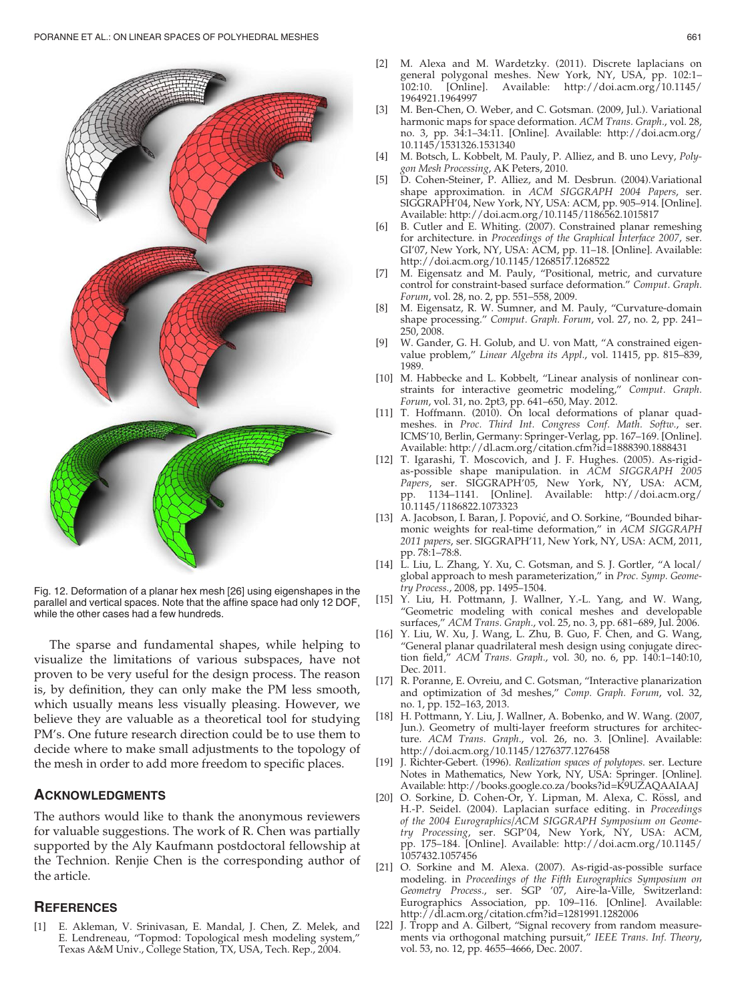

Fig. 12. Deformation of a planar hex mesh [26] using eigenshapes in the parallel and vertical spaces. Note that the affine space had only 12 DOF, while the other cases had a few hundreds.

The sparse and fundamental shapes, while helping to visualize the limitations of various subspaces, have not proven to be very useful for the design process. The reason is, by definition, they can only make the PM less smooth, which usually means less visually pleasing. However, we believe they are valuable as a theoretical tool for studying PM's. One future research direction could be to use them to decide where to make small adjustments to the topology of the mesh in order to add more freedom to specific places.

## ACKNOWLEDGMENTS

The authors would like to thank the anonymous reviewers for valuable suggestions. The work of R. Chen was partially supported by the Aly Kaufmann postdoctoral fellowship at the Technion. Renjie Chen is the corresponding author of the article.

#### **REFERENCES**

[1] E. Akleman, V. Srinivasan, E. Mandal, J. Chen, Z. Melek, and E. Lendreneau, "Topmod: Topological mesh modeling system," Texas A&M Univ., College Station, TX, USA, Tech. Rep., 2004.

- [2] M. Alexa and M. Wardetzky. (2011). Discrete laplacians on general polygonal meshes. New York, NY, USA, pp. 102:1-<br>102:10. [Online]. Available: http://doi.acm.org/10.1145/ Available: http://doi.acm.org/10.1145/ 1964921.1964997
- [3] M. Ben-Chen, O. Weber, and C. Gotsman. (2009, Jul.). Variational harmonic maps for space deformation. ACM Trans. Graph., vol. 28, no. 3, pp. 34:1–34:11. [Online]. Available: http://doi.acm.org/ 10.1145/1531326.1531340
- [4] M. Botsch, L. Kobbelt, M. Pauly, P. Alliez, and B. uno Levy, Polygon Mesh Processing, AK Peters, 2010.
- [5] D. Cohen-Steiner, P. Alliez, and M. Desbrun. (2004).Variational shape approximation. in ACM SIGGRAPH 2004 Papers, ser. SIGGRAPH'04, New York, NY, USA: ACM, pp. 905–914. [Online]. Available: http://doi.acm.org/10.1145/1186562.1015817
- [6] B. Cutler and E. Whiting. (2007). Constrained planar remeshing for architecture. in Proceedings of the Graphical Interface 2007, ser. GI'07, New York, NY, USA: ACM, pp. 11–18. [Online]. Available: http://doi.acm.org/10.1145/1268517.1268522
- [7] M. Eigensatz and M. Pauly, "Positional, metric, and curvature control for constraint-based surface deformation." Comput. Graph. Forum, vol. 28, no. 2, pp. 551–558, 2009.
- [8] M. Eigensatz, R. W. Sumner, and M. Pauly, "Curvature-domain shape processing." Comput. Graph. Forum, vol. 27, no. 2, pp. 241– 250, 2008.
- [9] W. Gander, G. H. Golub, and U. von Matt, "A constrained eigenvalue problem," Linear Algebra its Appl., vol. 11415, pp. 815–839, 1989.
- [10] M. Habbecke and L. Kobbelt, "Linear analysis of nonlinear constraints for interactive geometric modeling," Comput. Graph. Forum, vol. 31, no. 2pt3, pp. 641–650, May. 2012.
- [11] T. Hoffmann. (2010). On local deformations of planar quadmeshes. in Proc. Third Int. Congress Conf. Math. Softw., ser. ICMS'10, Berlin, Germany: Springer-Verlag, pp. 167–169. [Online]. Available: http://dl.acm.org/citation.cfm?id=1888390.1888431
- [12] T. Igarashi, T. Moscovich, and J. F. Hughes. (2005). As-rigidas-possible shape manipulation. in ACM SIGGRAPH 2005 Papers, ser. SIGGRAPH<sup>7</sup>05, New York, NY, USA: ACM, pp. 1134–1141. [Online]. Available: http://doi.acm.org/ pp. 1134-1141.
- [13] A. Jacobson, I. Baran, J. Popović, and O. Sorkine, "Bounded biharmonic weights for real-time deformation," in ACM SIGGRAPH 2011 papers, ser. SIGGRAPH'11, New York, NY, USA: ACM, 2011, pp. 78:1–78:8.
- [14] L. Liu, L. Zhang, Y. Xu, C. Gotsman, and S. J. Gortler, "A local/ global approach to mesh parameterization," in Proc. Symp. Geometry Process., 2008, pp. 1495–1504.
- [15] Y. Liu, H. Pottmann, J. Wallner, Y.-L. Yang, and W. Wang, "Geometric modeling with conical meshes and developable surfaces," ACM Trans. Graph., vol. 25, no. 3, pp. 681–689, Jul. 2006.
- [16] Y. Liu, W. Xu, J. Wang, L. Zhu, B. Guo, F. Chen, and G. Wang, "General planar quadrilateral mesh design using conjugate direction field," ACM Trans. Graph., vol. 30, no. 6, pp. 140:1–140:10, Dec. 2011.
- [17] R. Poranne, E. Ovreiu, and C. Gotsman, "Interactive planarization and optimization of 3d meshes," Comp. Graph. Forum, vol. 32, no. 1, pp. 152–163, 2013.
- [18] H. Pottmann, Y. Liu, J. Wallner, A. Bobenko, and W. Wang. (2007, Jun.). Geometry of multi-layer freeform structures for architecture. ACM Trans. Graph., vol. 26, no. 3. [Online]. Available: http://doi.acm.org/10.1145/1276377.1276458
- [19] J. Richter-Gebert. (1996). Realization spaces of polytopes. ser. Lecture Notes in Mathematics, New York, NY, USA: Springer. [Online]. Available: http://books.google.co.za/books?id=K9UZAQAAIAAJ
- [20] O. Sorkine, D. Cohen-Or, Y. Lipman, M. Alexa, C. Rössl, and H.-P. Seidel. (2004). Laplacian surface editing. in Proceedings of the 2004 Eurographics/ACM SIGGRAPH Symposium on Geometry Processing, ser. SGP'04, New York, NY, USA: ACM, pp. 175–184. [Online]. Available: http://doi.acm.org/10.1145/ 1057432.1057456
- [21] O. Sorkine and M. Alexa. (2007). As-rigid-as-possible surface modeling. in Proceedings of the Fifth Eurographics Symposium on Geometry Process., ser. SGP '07, Aire-la-Ville, Switzerland: Eurographics Association, pp. 109–116. [Online]. Available: http://dl.acm.org/citation.cfm?id=1281991.1282006
- [22] J. Tropp and A. Gilbert, "Signal recovery from random measurements via orthogonal matching pursuit," IEEE Trans. Inf. Theory, vol. 53, no. 12, pp. 4655–4666, Dec. 2007.